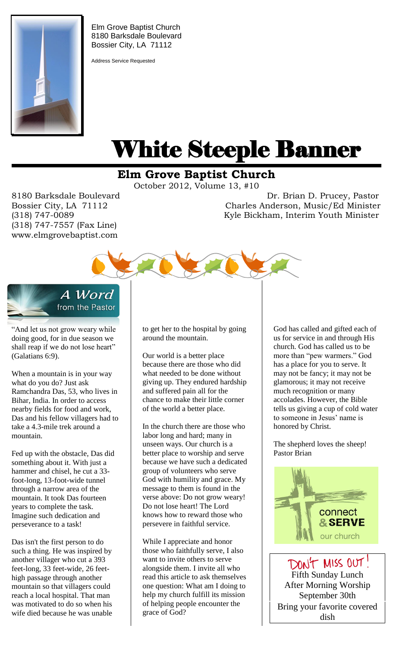

Elm Grove Baptist Church 8180 Barksdale Boulevard Bossier City, LA 71112

Address Service Requested

# White Steeple Banner ı

## **Elm Grove Baptist Church**

October 2012, Volume 13, #10

(318) 747-7557 (Fax Line) www.elmgrovebaptist.com

8180 Barksdale Boulevard Dr. Brian D. Prucey, Pastor Bossier City, LA 71112 Charles Anderson, Music/Ed Minister (318) 747-0089 Kyle Bickham, Interim Youth Minister





"And let us not grow weary while doing good, for in due season we shall reap if we do not lose heart" (Galatians 6:9).

When a mountain is in your way what do you do? Just ask Ramchandra Das, 53, who lives in Bihar, India. In order to access nearby fields for food and work, Das and his fellow villagers had to take a 4.3-mile trek around a mountain.

Fed up with the obstacle, Das did something about it. With just a hammer and chisel, he cut a 33 foot-long, 13-foot-wide tunnel through a narrow area of the mountain. It took Das fourteen years to complete the task. Imagine such dedication and perseverance to a task!

Das isn't the first person to do such a thing. He was inspired by another villager who cut a 393 feet-long, 33 feet-wide, 26 feethigh passage through another mountain so that villagers could reach a local hospital. That man was motivated to do so when his wife died because he was unable to get her to the hospital by going around the mountain.

Our world is a better place because there are those who did what needed to be done without giving up. They endured hardship and suffered pain all for the chance to make their little corner of the world a better place.

In the church there are those who labor long and hard; many in unseen ways. Our church is a better place to worship and serve because we have such a dedicated group of volunteers who serve God with humility and grace. My message to them is found in the verse above: Do not grow weary! Do not lose heart! The Lord knows how to reward those who persevere in faithful service.

While I appreciate and honor those who faithfully serve, I also want to invite others to serve alongside them. I invite all who read this article to ask themselves one question: What am I doing to help my church fulfill its mission of helping people encounter the grace of God?

God has called and gifted each of us for service in and through His church. God has called us to be more than "pew warmers." God has a place for you to serve. It may not be fancy; it may not be glamorous; it may not receive much recognition or many accolades. However, the Bible tells us giving a cup of cold water to someone in Jesus' name is honored by Christ.

The shepherd loves the sheep! Pastor Brian



DON'T MISS OUT! Fifth Sunday Lunch After Morning Worship September 30th Bring your favorite covered dish